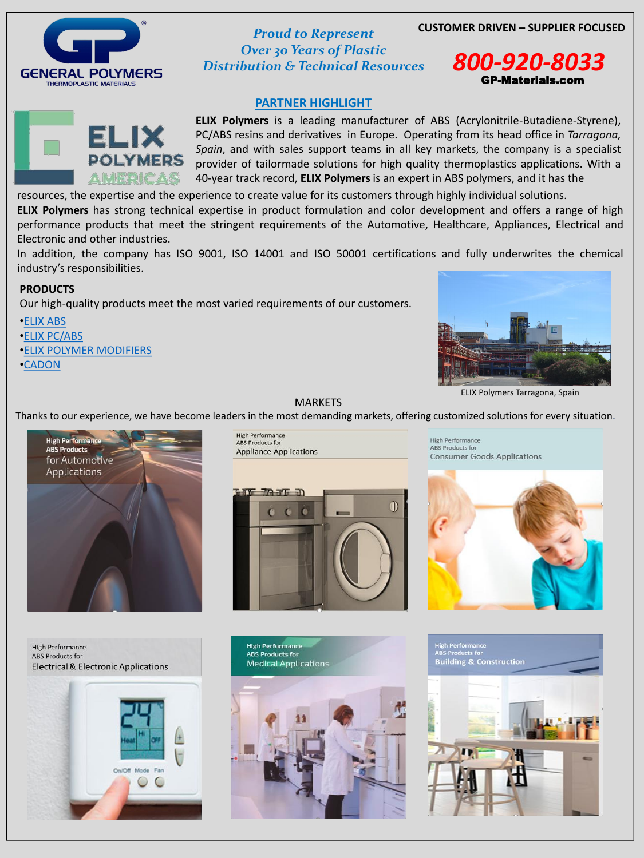



*Over 30 Years of Plastic Distribution & Technical Resources 800-920-8033*

## **PARTNER HIGHLIGHT**





resources, the expertise and the experience to create value for its customers through highly individual solutions.

**ELIX Polymers** has strong technical expertise in product formulation and color development and offers a range of high performance products that meet the stringent requirements of the Automotive, Healthcare, Appliances, Electrical and Electronic and other industries.

In addition, the company has ISO 9001, ISO 14001 and ISO 50001 certifications and fully underwrites the chemical industry's responsibilities.

### **PRODUCTS**

Our high-quality products meet the most varied requirements of our customers.

- •[ELIX ABS](http://www.elix-polymers.com/products/1/elix-abs)
- •[ELIX PC/ABS](http://www.elix-polymers.com/products/2/elix-pcabs)
- •[ELIX POLYMER MODIFIERS](http://www.elix-polymers.com/products/3/elix-polymer-modifiers)
- •[CADON](http://www.elix-polymers.com/products/4/cadon)



MARKETS

Thanks to our experience, we have become leaders in the most demanding markets, offering customized solutions for every situation.





**High Performance** ABS Products for **Consumer Goods Applications** 



**High Performance ABS Products for Electrical & Electronic Applications** 



**High Performance ABS Products for Medical Applications** 



**High Performance ABS Products for Building & Construction** 



ELIX Polymers Tarragona, Spain

**ELIX Polymers** is a leading manufacturer of ABS (Acrylonitrile-Butadiene-Styrene), PC/ABS resins and derivatives in Europe. Operating from its head office in *Tarragona, Spain*, and with sales support teams in all key markets, the company is a specialist provider of tailormade solutions for high quality thermoplastics applications. With a 40-year track record, **ELIX Polymers** is an expert in ABS polymers, and it has the